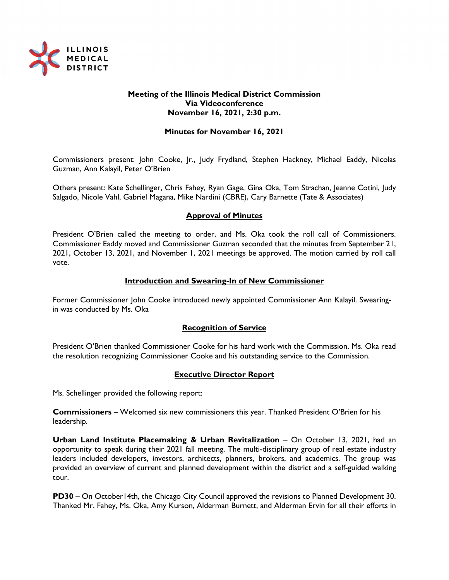

## **Meeting of the Illinois Medical District Commission Via Videoconference November 16, 2021, 2:30 p.m.**

## **Minutes for November 16, 2021**

Commissioners present: John Cooke, Jr., Judy Frydland, Stephen Hackney, Michael Eaddy, Nicolas Guzman, Ann Kalayil, Peter O'Brien

Others present: Kate Schellinger, Chris Fahey, Ryan Gage, Gina Oka, Tom Strachan, Jeanne Cotini, Judy Salgado, Nicole Vahl, Gabriel Magana, Mike Nardini (CBRE), Cary Barnette (Tate & Associates)

# **Approval of Minutes**

President O'Brien called the meeting to order, and Ms. Oka took the roll call of Commissioners. Commissioner Eaddy moved and Commissioner Guzman seconded that the minutes from September 21, 2021, October 13, 2021, and November 1, 2021 meetings be approved. The motion carried by roll call vote.

### **Introduction and Swearing-In of New Commissioner**

Former Commissioner John Cooke introduced newly appointed Commissioner Ann Kalayil. Swearingin was conducted by Ms. Oka

### **Recognition of Service**

President O'Brien thanked Commissioner Cooke for his hard work with the Commission. Ms. Oka read the resolution recognizing Commissioner Cooke and his outstanding service to the Commission.

### **Executive Director Report**

Ms. Schellinger provided the following report:

**Commissioners** – Welcomed six new commissioners this year. Thanked President O'Brien for his leadership.

**Urban Land Institute Placemaking & Urban Revitalization** – On October 13, 2021, had an opportunity to speak during their 2021 fall meeting. The multi-disciplinary group of real estate industry leaders included developers, investors, architects, planners, brokers, and academics. The group was provided an overview of current and planned development within the district and a self-guided walking tour.

**PD30** – On October14th, the Chicago City Council approved the revisions to Planned Development 30. Thanked Mr. Fahey, Ms. Oka, Amy Kurson, Alderman Burnett, and Alderman Ervin for all their efforts in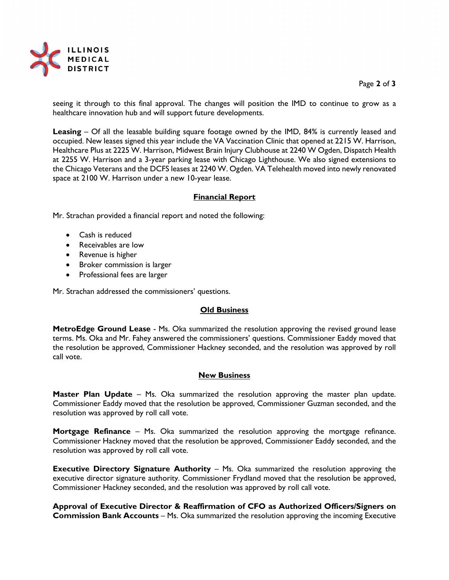

### Page **2** of **3**

seeing it through to this final approval. The changes will position the IMD to continue to grow as a healthcare innovation hub and will support future developments.

**Leasing** – Of all the leasable building square footage owned by the IMD, 84% is currently leased and occupied. New leases signed this year include the VA Vaccination Clinic that opened at 2215 W. Harrison, Healthcare Plus at 2225 W. Harrison, Midwest Brain Injury Clubhouse at 2240 W Ogden, Dispatch Health at 2255 W. Harrison and a 3-year parking lease with Chicago Lighthouse. We also signed extensions to the Chicago Veterans and the DCFS leases at 2240 W. Ogden. VA Telehealth moved into newly renovated space at 2100 W. Harrison under a new 10-year lease.

# **Financial Report**

Mr. Strachan provided a financial report and noted the following:

- Cash is reduced
- Receivables are low
- Revenue is higher
- Broker commission is larger
- Professional fees are larger

Mr. Strachan addressed the commissioners' questions.

### **Old Business**

**MetroEdge Ground Lease** - Ms. Oka summarized the resolution approving the revised ground lease terms. Ms. Oka and Mr. Fahey answered the commissioners' questions. Commissioner Eaddy moved that the resolution be approved, Commissioner Hackney seconded, and the resolution was approved by roll call vote.

#### **New Business**

**Master Plan Update** – Ms. Oka summarized the resolution approving the master plan update. Commissioner Eaddy moved that the resolution be approved, Commissioner Guzman seconded, and the resolution was approved by roll call vote.

**Mortgage Refinance** – Ms. Oka summarized the resolution approving the mortgage refinance. Commissioner Hackney moved that the resolution be approved, Commissioner Eaddy seconded, and the resolution was approved by roll call vote.

**Executive Directory Signature Authority** – Ms. Oka summarized the resolution approving the executive director signature authority. Commissioner Frydland moved that the resolution be approved, Commissioner Hackney seconded, and the resolution was approved by roll call vote.

**Approval of Executive Director & Reaffirmation of CFO as Authorized Officers/Signers on Commission Bank Accounts** – Ms. Oka summarized the resolution approving the incoming Executive